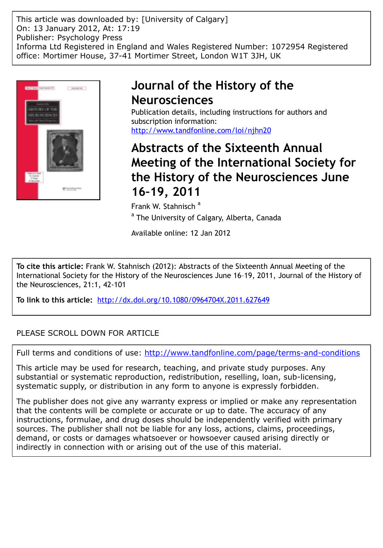This article was downloaded by: [University of Calgary] On: 13 January 2012, At: 17:19 Publisher: Psychology Press Informa Ltd Registered in England and Wales Registered Number: 1072954 Registered office: Mortimer House, 37-41 Mortimer Street, London W1T 3JH, UK



## **Journal of the History of the Neurosciences**

Publication details, including instructions for authors and subscription information: <http://www.tandfonline.com/loi/njhn20>

## **Abstracts of the Sixteenth Annual Meeting of the International Society for the History of the Neurosciences June 16–19, 2011**

Frank W. Stahnisch<sup>a</sup> <sup>a</sup> The University of Calgary, Alberta, Canada

Available online: 12 Jan 2012

**To cite this article:** Frank W. Stahnisch (2012): Abstracts of the Sixteenth Annual Meeting of the International Society for the History of the Neurosciences June 16–19, 2011, Journal of the History of the Neurosciences, 21:1, 42-101

**To link to this article:** <http://dx.doi.org/10.1080/0964704X.2011.627649>

## PLEASE SCROLL DOWN FOR ARTICLE

Full terms and conditions of use:<http://www.tandfonline.com/page/terms-and-conditions>

This article may be used for research, teaching, and private study purposes. Any substantial or systematic reproduction, redistribution, reselling, loan, sub-licensing, systematic supply, or distribution in any form to anyone is expressly forbidden.

The publisher does not give any warranty express or implied or make any representation that the contents will be complete or accurate or up to date. The accuracy of any instructions, formulae, and drug doses should be independently verified with primary sources. The publisher shall not be liable for any loss, actions, claims, proceedings, demand, or costs or damages whatsoever or howsoever caused arising directly or indirectly in connection with or arising out of the use of this material.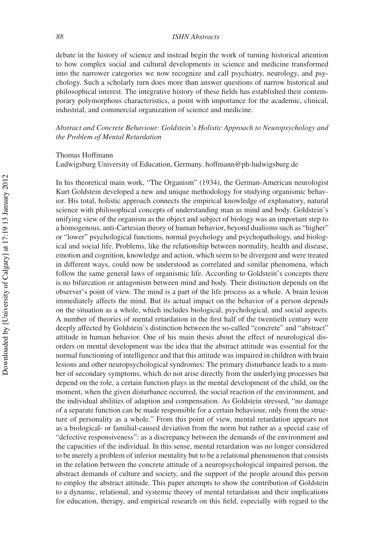debate in the history of science and instead begin the work of turning historical attention to how complex social and cultural developments in science and medicine transformed into the narrower categories we now recognize and call psychiatry, neurology, and psychology. Such a scholarly turn does more than answer questions of narrow historical and philosophical interest. The integrative history of these fields has established their contemporary polymorphous characteristics, a point with importance for the academic, clinical, industrial, and commercial organization of science and medicine.

*Abstract and Concrete Behaviour: Goldstein's Holistic Approach to Neuropsychology and the Problem of Mental Retardation*

## Thomas Hoffmann

Ludwigsburg University of Education, Germany. hoffmann@ph-ludwigsburg.de

In his theoretical main work, "The Organism" (1934), the German-American neurologist Kurt Goldstein developed a new and unique methodology for studying organismic behavior. His total, holistic approach connects the empirical knowledge of explanatory, natural science with philosophical concepts of understanding man as mind and body. Goldstein's unifying view of the organism as the object and subject of biology was an important step to a homogenous, anti-Cartesian theory of human behavior, beyond dualisms such as "higher" or "lower" psychological functions, normal psychology and psychopathology, and biological and social life. Problems, like the relationship between normality, health and disease, emotion and cognition, knowledge and action, which seem to be divergent and were treated in different ways, could now be understood as correlated and similar phenomena, which follow the same general laws of organismic life. According to Goldstein's concepts there is no bifurcation or antagonism between mind and body. Their distinction depends on the observer's point of view. The mind is a part of the life process as a whole. A brain lesion immediately affects the mind. But its actual impact on the behavior of a person depends on the situation as a whole, which includes biological, psychological, and social aspects. A number of theories of mental retardation in the first half of the twentieth century were deeply affected by Goldstein's distinction between the so-called "concrete" and "abstract" attitude in human behavior. One of his main thesis about the effect of neurological disorders on mental development was the idea that the abstract attitude was essential for the normal functioning of intelligence and that this attitude was impaired in children with brain lesions and other neuropsychological syndromes: The primary disturbance leads to a number of secondary symptoms, which do not arise directly from the underlying processes but depend on the role, a certain function plays in the mental development of the child, on the moment, when the given disturbance occurred, the social reaction of the environment, and the individual abilities of adaption and compensation. As Goldstein stressed, "no damage of a separate function can be made responsible for a certain behaviour, only from the structure of personality as a whole." From this point of view, mental retardation appears not as a biological- or familial-caused deviation from the norm but rather as a special case of "defective responsiveness": as a discrepancy between the demands of the environment and the capacities of the individual. In this sense, mental retardation was no longer considered to be merely a problem of inferior mentality but to be a relational phenomenon that consists in the relation between the concrete attitude of a neuropsychological impaired person, the abstract demands of culture and society, and the support of the people around this person to employ the abstract attitude. This paper attempts to show the contribution of Goldstein to a dynamic, relational, and systemic theory of mental retardation and their implications for education, therapy, and empirical research on this field, especially with regard to the